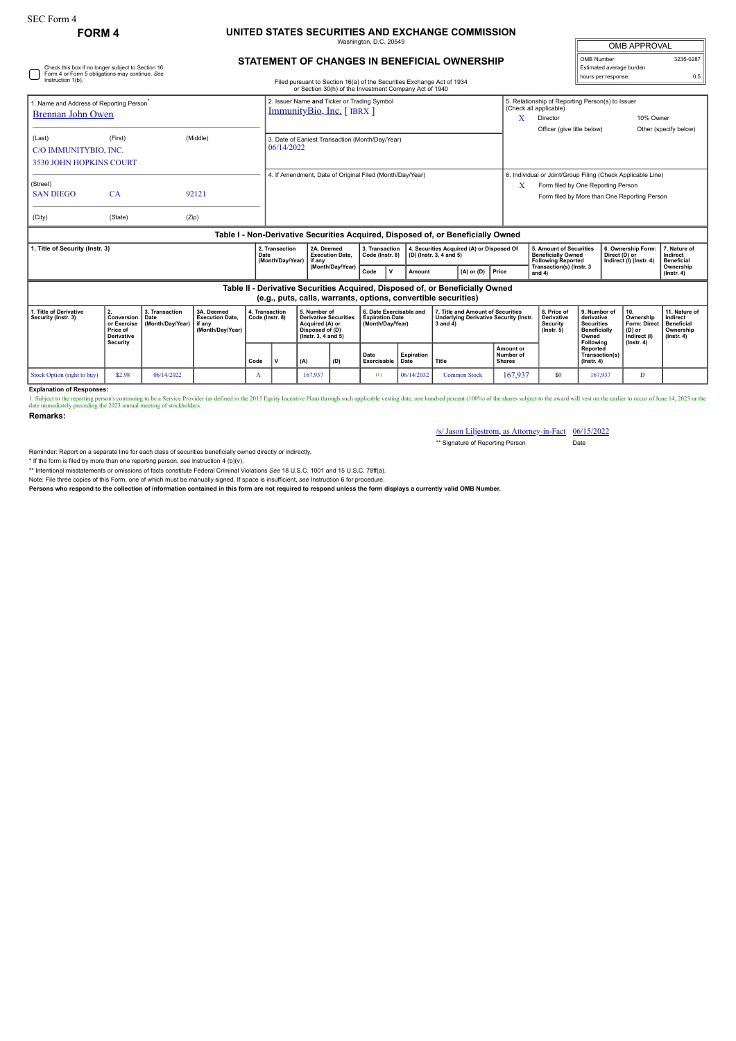## **FORM 4 UNITED STATES SECURITIES AND EXCHANGE COMMISSION** on, D.C. 2

OMB APPROVAL OMB Number: 3235-0287 Estimated average burden hours per response: 0.5

## **STATEMENT OF CHANGES IN BENEFICIAL OWNERSHIP**

| Check this box if no longer subject to Section 16.<br>Form 4 or Form 5 obligations may continue. See<br>Instruction 1(b). |                                                                                                                                                 |                                            |                                                                    |                                   |                                                                                                                                       | Filed pursuant to Section 16(a) of the Securities Exchange Act of 1934                                    |                                      |                                                                       |                                                                                                           |                                                                                                |                                         |                                                                                                          |                                                                                   | Estimated average burden<br>hours per response:                |  |                                                                                 |
|---------------------------------------------------------------------------------------------------------------------------|-------------------------------------------------------------------------------------------------------------------------------------------------|--------------------------------------------|--------------------------------------------------------------------|-----------------------------------|---------------------------------------------------------------------------------------------------------------------------------------|-----------------------------------------------------------------------------------------------------------|--------------------------------------|-----------------------------------------------------------------------|-----------------------------------------------------------------------------------------------------------|------------------------------------------------------------------------------------------------|-----------------------------------------|----------------------------------------------------------------------------------------------------------|-----------------------------------------------------------------------------------|----------------------------------------------------------------|--|---------------------------------------------------------------------------------|
| 1. Name and Address of Reporting Person <sup>®</sup><br><b>Brennan John Owen</b>                                          |                                                                                                                                                 |                                            |                                                                    |                                   | or Section 30(h) of the Investment Company Act of 1940<br>2. Issuer Name and Ticker or Trading Symbol<br>$ImmunityBio, Inc.$ [ IBRX ] |                                                                                                           |                                      |                                                                       |                                                                                                           |                                                                                                |                                         | 5. Relationship of Reporting Person(s) to Issuer<br>(Check all applicable)<br>10% Owner<br>Director<br>x |                                                                                   |                                                                |  |                                                                                 |
|                                                                                                                           |                                                                                                                                                 |                                            |                                                                    |                                   |                                                                                                                                       |                                                                                                           |                                      |                                                                       |                                                                                                           |                                                                                                |                                         | Officer (give title below)                                                                               |                                                                                   |                                                                |  | Other (specify below)                                                           |
| (Last)                                                                                                                    | (First)<br>(Middle)<br>C/O IMMUNITYBIO, INC.<br><b>3530 JOHN HOPKINS COURT</b>                                                                  |                                            |                                                                    |                                   | 3. Date of Earliest Transaction (Month/Day/Year)<br>06/14/2022                                                                        |                                                                                                           |                                      |                                                                       |                                                                                                           |                                                                                                |                                         |                                                                                                          |                                                                                   |                                                                |  |                                                                                 |
|                                                                                                                           |                                                                                                                                                 |                                            |                                                                    |                                   | 4. If Amendment, Date of Original Filed (Month/Day/Year)                                                                              |                                                                                                           |                                      |                                                                       |                                                                                                           |                                                                                                |                                         | 6. Individual or Joint/Group Filing (Check Applicable Line)                                              |                                                                                   |                                                                |  |                                                                                 |
| (Street)<br><b>SAN DIEGO</b>                                                                                              | 92121<br>CA                                                                                                                                     |                                            |                                                                    |                                   |                                                                                                                                       |                                                                                                           |                                      |                                                                       |                                                                                                           |                                                                                                |                                         | Form filed by One Reporting Person<br>Form filed by More than One Reporting Person                       |                                                                                   |                                                                |  |                                                                                 |
| (City)                                                                                                                    | (State)                                                                                                                                         | (Zip)                                      |                                                                    |                                   |                                                                                                                                       |                                                                                                           |                                      |                                                                       |                                                                                                           |                                                                                                |                                         |                                                                                                          |                                                                                   |                                                                |  |                                                                                 |
| Table I - Non-Derivative Securities Acquired, Disposed of, or Beneficially Owned                                          |                                                                                                                                                 |                                            |                                                                    |                                   |                                                                                                                                       |                                                                                                           |                                      |                                                                       |                                                                                                           |                                                                                                |                                         |                                                                                                          |                                                                                   |                                                                |  |                                                                                 |
| . Title of Security (Instr. 3)<br>Date                                                                                    |                                                                                                                                                 |                                            |                                                                    |                                   | 2. Transaction<br>(Month/Day/Year)                                                                                                    | l if anv                                                                                                  | 2A. Deemed<br><b>Execution Date.</b> |                                                                       | 3. Transaction<br>4. Securities Acquired (A) or Disposed Of<br>Code (Instr. 8)<br>(D) (Instr. 3, 4 and 5) |                                                                                                |                                         |                                                                                                          | 5. Amount of Securities<br><b>Beneficially Owned</b><br><b>Following Reported</b> | 6. Ownership Form:<br>Direct (D) or<br>Indirect (I) (Instr. 4) |  | 7. Nature of<br>Indirect<br><b>Beneficial</b>                                   |
|                                                                                                                           |                                                                                                                                                 |                                            |                                                                    |                                   |                                                                                                                                       | (Month/Day/Year)                                                                                          |                                      | Code<br>$\mathsf{v}$                                                  | Amount                                                                                                    | $(A)$ or $(D)$                                                                                 | Price                                   | Transaction(s) (Instr. 3<br>and $4)$                                                                     |                                                                                   |                                                                |  | Ownership<br>$($ lnstr. 4 $)$                                                   |
|                                                                                                                           | Table II - Derivative Securities Acquired, Disposed of, or Beneficially Owned<br>(e.g., puts, calls, warrants, options, convertible securities) |                                            |                                                                    |                                   |                                                                                                                                       |                                                                                                           |                                      |                                                                       |                                                                                                           |                                                                                                |                                         |                                                                                                          |                                                                                   |                                                                |  |                                                                                 |
| 1. Title of Derivative<br>Security (Instr. 3)                                                                             | 2.<br>Conversion<br>or Exercise<br>Price of<br><b>Derivative</b><br>Security                                                                    | 3. Transaction<br>Date<br>(Month/Day/Year) | 3A. Deemed<br><b>Execution Date,</b><br>if anv<br>(Month/Day/Year) | 4. Transaction<br>Code (Instr. 8) |                                                                                                                                       | 5. Number of<br><b>Derivative Securities</b><br>Acquired (A) or<br>Disposed of (D)<br>(Instr. 3, 4 and 5) |                                      | 6. Date Exercisable and<br><b>Expiration Date</b><br>(Month/Day/Year) |                                                                                                           | 7. Title and Amount of Securities<br><b>Underlying Derivative Security (Instr.</b><br>3 and 4) |                                         | 8. Price of<br><b>Derivative</b><br><b>Security</b><br>$($ lnstr. 5 $)$                                  | 9. Number of<br>derivative<br><b>Securities</b><br><b>Beneficially</b><br>Owned   | 10.<br>Ownership<br>Form: Direct<br>(D) or<br>Indirect (I)     |  | 11. Nature of<br>Indirect<br><b>Beneficial</b><br>Ownership<br>$($ Instr. 4 $)$ |
|                                                                                                                           |                                                                                                                                                 |                                            |                                                                    | Code                              |                                                                                                                                       | (A)<br>(D)                                                                                                |                                      | Date<br>Exercisable                                                   | Expiration<br>Date                                                                                        | Title                                                                                          | Amount or<br>Number of<br><b>Shares</b> |                                                                                                          | Following<br>Reported<br>Transaction(s)<br>$($ lnstr. 4 $)$                       | $($ lnstr. 4 $)$                                               |  |                                                                                 |

**Explanation of Responses:**

1. Subject to the reporting person's continuing to be a Service Provider (as defined in the 2015 Equity Incentive Plan) through such applicable vesting date, one hundred percent (100%) of the shares subject to the award wi

Stock Option (right to buy) | \$2.98 | 06/14/2022 | A | 167,937 | (1) | 06/14/2032 Common Stock | 167,937 | \$0 | 167,937 | D

**Remarks:**

/s/ Jason Liljestrom, as Attorney-in-Fact 06/15/2022 \*\* Signature of Reporting Person Date

Reminder: Report on a separate line for each class of securities beneficially owned directly or indirectly.

\* If the form is filed by more than one reporting person, see Instruction 4 (b)(v).<br>\*\* Intentional misstatements or omissions of facts constitute Federal Criminal Violations See 18 U.S.C. 1001 and 15 U.S.C. 78ff(a).

Note: File three copies of this Form, one of which must be manually signed. If space is insufficient, *see* Instruction 6 for procedure.

**Persons who respond to the collection of information contained in this form are not required to respond unless the form displays a currently valid OMB Number.**